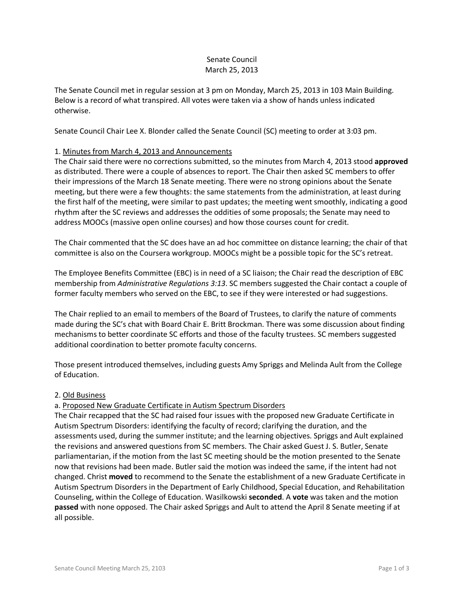### Senate Council March 25, 2013

The Senate Council met in regular session at 3 pm on Monday, March 25, 2013 in 103 Main Building. Below is a record of what transpired. All votes were taken via a show of hands unless indicated otherwise.

Senate Council Chair Lee X. Blonder called the Senate Council (SC) meeting to order at 3:03 pm.

### 1. Minutes from March 4, 2013 and Announcements

The Chair said there were no corrections submitted, so the minutes from March 4, 2013 stood **approved** as distributed. There were a couple of absences to report. The Chair then asked SC members to offer their impressions of the March 18 Senate meeting. There were no strong opinions about the Senate meeting, but there were a few thoughts: the same statements from the administration, at least during the first half of the meeting, were similar to past updates; the meeting went smoothly, indicating a good rhythm after the SC reviews and addresses the oddities of some proposals; the Senate may need to address MOOCs (massive open online courses) and how those courses count for credit.

The Chair commented that the SC does have an ad hoc committee on distance learning; the chair of that committee is also on the Coursera workgroup. MOOCs might be a possible topic for the SC's retreat.

The Employee Benefits Committee (EBC) is in need of a SC liaison; the Chair read the description of EBC membership from *Administrative Regulations 3:13*. SC members suggested the Chair contact a couple of former faculty members who served on the EBC, to see if they were interested or had suggestions.

The Chair replied to an email to members of the Board of Trustees, to clarify the nature of comments made during the SC's chat with Board Chair E. Britt Brockman. There was some discussion about finding mechanisms to better coordinate SC efforts and those of the faculty trustees. SC members suggested additional coordination to better promote faculty concerns.

Those present introduced themselves, including guests Amy Spriggs and Melinda Ault from the College of Education.

### 2. Old Business

### a. Proposed New Graduate Certificate in Autism Spectrum Disorders

The Chair recapped that the SC had raised four issues with the proposed new Graduate Certificate in Autism Spectrum Disorders: identifying the faculty of record; clarifying the duration, and the assessments used, during the summer institute; and the learning objectives. Spriggs and Ault explained the revisions and answered questions from SC members. The Chair asked Guest J. S. Butler, Senate parliamentarian, if the motion from the last SC meeting should be the motion presented to the Senate now that revisions had been made. Butler said the motion was indeed the same, if the intent had not changed. Christ **moved** to recommend to the Senate the establishment of a new Graduate Certificate in Autism Spectrum Disorders in the Department of Early Childhood, Special Education, and Rehabilitation Counseling, within the College of Education. Wasilkowski **seconded**. A **vote** was taken and the motion **passed** with none opposed. The Chair asked Spriggs and Ault to attend the April 8 Senate meeting if at all possible.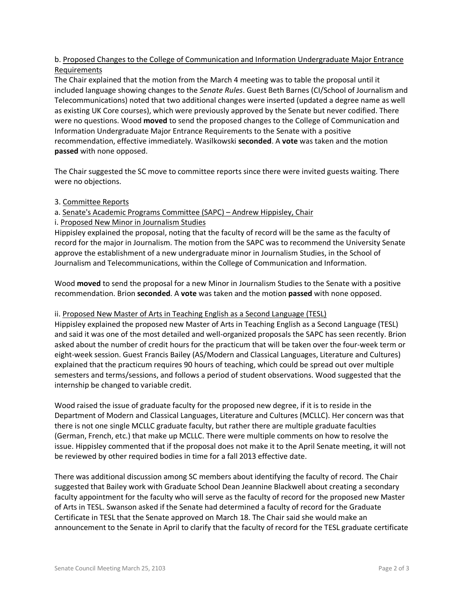# b. Proposed Changes to the College of Communication and Information Undergraduate Major Entrance Requirements

The Chair explained that the motion from the March 4 meeting was to table the proposal until it included language showing changes to the *Senate Rules*. Guest Beth Barnes (CI/School of Journalism and Telecommunications) noted that two additional changes were inserted (updated a degree name as well as existing UK Core courses), which were previously approved by the Senate but never codified. There were no questions. Wood **moved** to send the proposed changes to the College of Communication and Information Undergraduate Major Entrance Requirements to the Senate with a positive recommendation, effective immediately. Wasilkowski **seconded**. A **vote** was taken and the motion **passed** with none opposed.

The Chair suggested the SC move to committee reports since there were invited guests waiting. There were no objections.

3. Committee Reports

### a. Senate's Academic Programs Committee (SAPC) – Andrew Hippisley, Chair

i. Proposed New Minor in Journalism Studies

Hippisley explained the proposal, noting that the faculty of record will be the same as the faculty of record for the major in Journalism. The motion from the SAPC was to recommend the University Senate approve the establishment of a new undergraduate minor in Journalism Studies, in the School of Journalism and Telecommunications, within the College of Communication and Information.

Wood **moved** to send the proposal for a new Minor in Journalism Studies to the Senate with a positive recommendation. Brion **seconded**. A **vote** was taken and the motion **passed** with none opposed.

### ii. Proposed New Master of Arts in Teaching English as a Second Language (TESL)

Hippisley explained the proposed new Master of Arts in Teaching English as a Second Language (TESL) and said it was one of the most detailed and well-organized proposals the SAPC has seen recently. Brion asked about the number of credit hours for the practicum that will be taken over the four-week term or eight-week session. Guest Francis Bailey (AS/Modern and Classical Languages, Literature and Cultures) explained that the practicum requires 90 hours of teaching, which could be spread out over multiple semesters and terms/sessions, and follows a period of student observations. Wood suggested that the internship be changed to variable credit.

Wood raised the issue of graduate faculty for the proposed new degree, if it is to reside in the Department of Modern and Classical Languages, Literature and Cultures (MCLLC). Her concern was that there is not one single MCLLC graduate faculty, but rather there are multiple graduate faculties (German, French, etc.) that make up MCLLC. There were multiple comments on how to resolve the issue. Hippisley commented that if the proposal does not make it to the April Senate meeting, it will not be reviewed by other required bodies in time for a fall 2013 effective date.

There was additional discussion among SC members about identifying the faculty of record. The Chair suggested that Bailey work with Graduate School Dean Jeannine Blackwell about creating a secondary faculty appointment for the faculty who will serve as the faculty of record for the proposed new Master of Arts in TESL. Swanson asked if the Senate had determined a faculty of record for the Graduate Certificate in TESL that the Senate approved on March 18. The Chair said she would make an announcement to the Senate in April to clarify that the faculty of record for the TESL graduate certificate